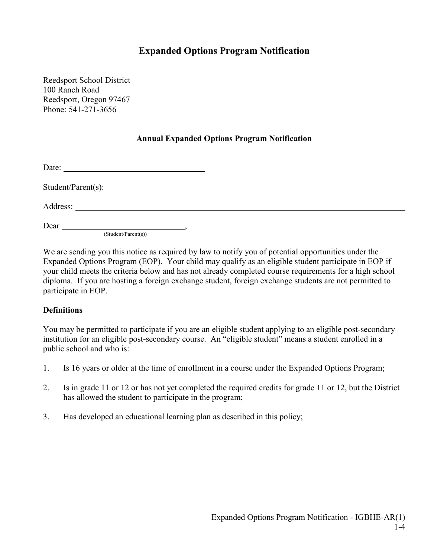# **Expanded Options Program Notification**

Reedsport School District 100 Ranch Road Reedsport, Oregon 97467 Phone: 541-271-3656

#### **Annual Expanded Options Program Notification**

Student/Parent(s):

Address:

 $\text{Dear}\_\_\_\_\_\_\_\_\$ 

(Student/Parent(s))

We are sending you this notice as required by law to notify you of potential opportunities under the Expanded Options Program (EOP). Your child may qualify as an eligible student participate in EOP if your child meets the criteria below and has not already completed course requirements for a high school diploma. If you are hosting a foreign exchange student, foreign exchange students are not permitted to participate in EOP.

#### **Definitions**

You may be permitted to participate if you are an eligible student applying to an eligible post-secondary institution for an eligible post-secondary course. An "eligible student" means a student enrolled in a public school and who is:

- 1. Is 16 years or older at the time of enrollment in a course under the Expanded Options Program;
- 2. Is in grade 11 or 12 or has not yet completed the required credits for grade 11 or 12, but the District has allowed the student to participate in the program;
- 3. Has developed an educational learning plan as described in this policy;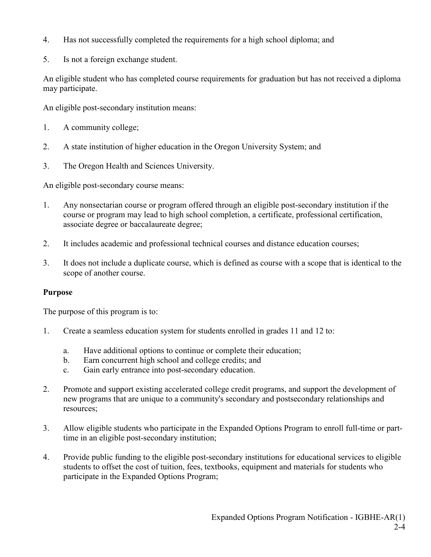- 4. Has not successfully completed the requirements for a high school diploma; and
- 5. Is not a foreign exchange student.

An eligible student who has completed course requirements for graduation but has not received a diploma may participate.

An eligible post-secondary institution means:

- 1. A community college;
- 2. A state institution of higher education in the Oregon University System; and
- 3. The Oregon Health and Sciences University.

An eligible post-secondary course means:

- 1. Any nonsectarian course or program offered through an eligible post-secondary institution if the course or program may lead to high school completion, a certificate, professional certification, associate degree or baccalaureate degree;
- 2. It includes academic and professional technical courses and distance education courses;
- 3. It does not include a duplicate course, which is defined as course with a scope that is identical to the scope of another course.

### **Purpose**

The purpose of this program is to:

- 1. Create a seamless education system for students enrolled in grades 11 and 12 to:
	- a. Have additional options to continue or complete their education;
	- b. Earn concurrent high school and college credits; and
	- c. Gain early entrance into post-secondary education.
- 2. Promote and support existing accelerated college credit programs, and support the development of new programs that are unique to a community's secondary and postsecondary relationships and resources;
- 3. Allow eligible students who participate in the Expanded Options Program to enroll full-time or parttime in an eligible post-secondary institution;
- 4. Provide public funding to the eligible post-secondary institutions for educational services to eligible students to offset the cost of tuition, fees, textbooks, equipment and materials for students who participate in the Expanded Options Program;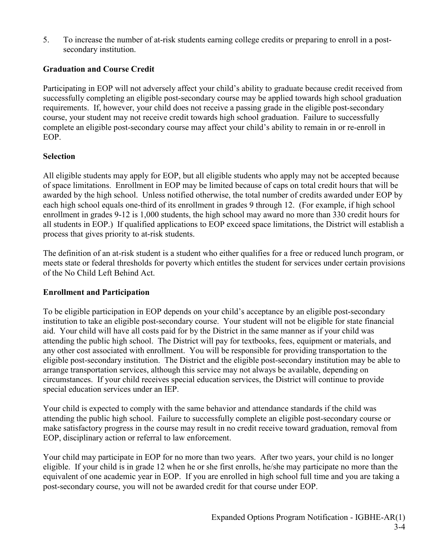5. To increase the number of at-risk students earning college credits or preparing to enroll in a postsecondary institution.

## **Graduation and Course Credit**

Participating in EOP will not adversely affect your child's ability to graduate because credit received from successfully completing an eligible post-secondary course may be applied towards high school graduation requirements. If, however, your child does not receive a passing grade in the eligible post-secondary course, your student may not receive credit towards high school graduation. Failure to successfully complete an eligible post-secondary course may affect your child's ability to remain in or re-enroll in EOP.

## **Selection**

All eligible students may apply for EOP, but all eligible students who apply may not be accepted because of space limitations. Enrollment in EOP may be limited because of caps on total credit hours that will be awarded by the high school. Unless notified otherwise, the total number of credits awarded under EOP by each high school equals one-third of its enrollment in grades 9 through 12. (For example, if high school enrollment in grades 9-12 is 1,000 students, the high school may award no more than 330 credit hours for all students in EOP.) If qualified applications to EOP exceed space limitations, the District will establish a process that gives priority to at-risk students.

The definition of an at-risk student is a student who either qualifies for a free or reduced lunch program, or meets state or federal thresholds for poverty which entitles the student for services under certain provisions of the No Child Left Behind Act.

### **Enrollment and Participation**

To be eligible participation in EOP depends on your child's acceptance by an eligible post-secondary institution to take an eligible post-secondary course. Your student will not be eligible for state financial aid. Your child will have all costs paid for by the District in the same manner as if your child was attending the public high school. The District will pay for textbooks, fees, equipment or materials, and any other cost associated with enrollment. You will be responsible for providing transportation to the eligible post-secondary institution. The District and the eligible post-secondary institution may be able to arrange transportation services, although this service may not always be available, depending on circumstances. If your child receives special education services, the District will continue to provide special education services under an IEP.

Your child is expected to comply with the same behavior and attendance standards if the child was attending the public high school. Failure to successfully complete an eligible post-secondary course or make satisfactory progress in the course may result in no credit receive toward graduation, removal from EOP, disciplinary action or referral to law enforcement.

Your child may participate in EOP for no more than two years. After two years, your child is no longer eligible. If your child is in grade 12 when he or she first enrolls, he/she may participate no more than the equivalent of one academic year in EOP. If you are enrolled in high school full time and you are taking a post-secondary course, you will not be awarded credit for that course under EOP.